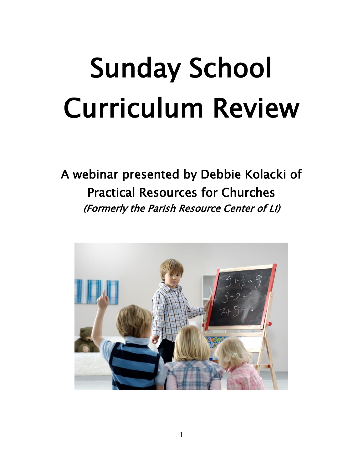# Sunday School Curriculum Review

A webinar presented by Debbie Kolacki of Practical Resources for Churches (Formerly the Parish Resource Center of LI)

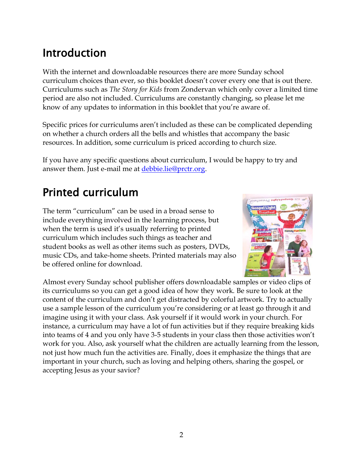### Introduction

With the internet and downloadable resources there are more Sunday school curriculum choices than ever, so this booklet doesn't cover every one that is out there. Curriculums such as *The Story for Kids* from Zondervan which only cover a limited time period are also not included. Curriculums are constantly changing, so please let me know of any updates to information in this booklet that you're aware of.

Specific prices for curriculums aren't included as these can be complicated depending on whether a church orders all the bells and whistles that accompany the basic resources. In addition, some curriculum is priced according to church size.

If you have any specific questions about curriculum, I would be happy to try and answer them. Just e-mail me at [debbie.lie@prctr.org.](mailto:debbie.lie@prctr.org)

### Printed curriculum

The term "curriculum" can be used in a broad sense to include everything involved in the learning process, but when the term is used it's usually referring to printed curriculum which includes such things as teacher and student books as well as other items such as posters, DVDs, music CDs, and take-home sheets. Printed materials may also be offered online for download.



Almost every Sunday school publisher offers downloadable samples or video clips of its curriculums so you can get a good idea of how they work. Be sure to look at the content of the curriculum and don't get distracted by colorful artwork. Try to actually use a sample lesson of the curriculum you're considering or at least go through it and imagine using it with your class. Ask yourself if it would work in your church. For instance, a curriculum may have a lot of fun activities but if they require breaking kids into teams of 4 and you only have 3-5 students in your class then those activities won't work for you. Also, ask yourself what the children are actually learning from the lesson, not just how much fun the activities are. Finally, does it emphasize the things that are important in your church, such as loving and helping others, sharing the gospel, or accepting Jesus as your savior?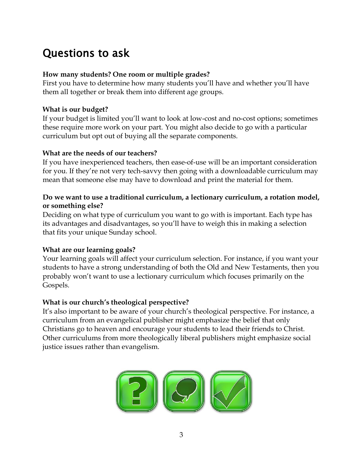### Questions to ask

#### **How many students? One room or multiple grades?**

First you have to determine how many students you'll have and whether you'll have them all together or break them into different age groups.

#### **What is our budget?**

If your budget is limited you'll want to look at low-cost and no-cost options; sometimes these require more work on your part. You might also decide to go with a particular curriculum but opt out of buying all the separate components.

#### **What are the needs of our teachers?**

If you have inexperienced teachers, then ease-of-use will be an important consideration for you. If they're not very tech-savvy then going with a downloadable curriculum may mean that someone else may have to download and print the material for them.

#### **Do we want to use a traditional curriculum, a lectionary curriculum, a rotation model, or something else?**

Deciding on what type of curriculum you want to go with is important. Each type has its advantages and disadvantages, so you'll have to weigh this in making a selection that fits your unique Sunday school.

#### **What are our learning goals?**

Your learning goals will affect your curriculum selection. For instance, if you want your students to have a strong understanding of both the Old and New Testaments, then you probably won't want to use a lectionary curriculum which focuses primarily on the Gospels.

#### **What is our church's theological perspective?**

It's also important to be aware of your church's theological perspective. For instance, a curriculum from an evangelical publisher might emphasize the belief that only Christians go to heaven and encourage your students to lead their friends to Christ. Other curriculums from more theologically liberal publishers might emphasize social justice issues rather than evangelism.

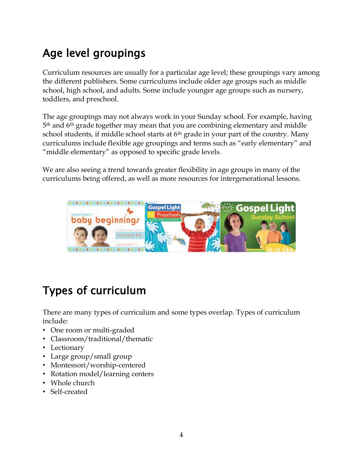### Age level groupings

Curriculum resources are usually for a particular age level; these groupings vary among the different publishers. Some curriculums include older age groups such as middle school, high school, and adults. Some include younger age groups such as nursery, toddlers, and preschool.

The age groupings may not always work in your Sunday school. For example, having 5 th and 6th grade together may mean that you are combining elementary and middle school students, if middle school starts at  $6<sup>th</sup>$  grade in your part of the country. Many curriculums include flexible age groupings and terms such as "early elementary" and "middle elementary" as opposed to specific grade levels.

We are also seeing a trend towards greater flexibility in age groups in many of the curriculums being offered, as well as more resources for intergenerational lessons.



### Types of curriculum

There are many types of curriculum and some types overlap. Types of curriculum include:

- One room or multi-graded
- Classroom/traditional/thematic
- Lectionary
- Large group/small group
- Montessori/worship-centered
- Rotation model/learning centers
- Whole church
- Self-created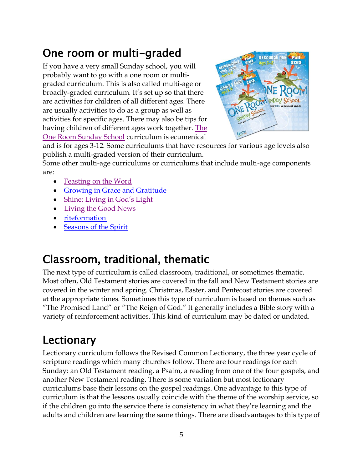### One room or multi-graded

If you have a very small Sunday school, you will probably want to go with a one room or multigraded curriculum. This is also called multi-age or broadly-graded curriculum. It's set up so that there are activities for children of all different ages. There are usually activities to do as a group as well as activities for specific ages. There may also be tips for having children of different ages work together. [The](http://www.cokesbury.com/forms/curriculum.aspx?sid=124)  [One Room Sunday School](http://www.cokesbury.com/forms/curriculum.aspx?sid=124) curriculum is ecumenical



and is for ages 3-12. Some curriculums that have resources for various age levels also publish a multi-graded version of their curriculum.

Some other multi-age curriculums or curriculums that include multi-age components are:

- [Feasting on the Word](http://www.feastingontheword.net/Curriculum/)
- [Growing in Grace and Gratitude](http://www.presbyterianmission.org/ministries/growinggracegratitude/)
- [Shine: Living in God's Light](https://shinecurriculum.com/)
- [Living the Good News](https://www.livingthegoodnews.com/)
- [riteformation](https://www.riteseries.org/formation/)
- [Seasons of the Spirit](http://www.seasonsonline.ca/)

### Classroom, traditional, thematic

The next type of curriculum is called classroom, traditional, or sometimes thematic. Most often, Old Testament stories are covered in the fall and New Testament stories are covered in the winter and spring. Christmas, Easter, and Pentecost stories are covered at the appropriate times. Sometimes this type of curriculum is based on themes such as "The Promised Land" or "The Reign of God." It generally includes a Bible story with a variety of reinforcement activities. This kind of curriculum may be dated or undated.

### **Lectionary**

Lectionary curriculum follows the Revised Common Lectionary, the three year cycle of scripture readings which many churches follow. There are four readings for each Sunday: an Old Testament reading, a Psalm, a reading from one of the four gospels, and another New Testament reading. There is some variation but most lectionary curriculums base their lessons on the gospel readings. One advantage to this type of curriculum is that the lessons usually coincide with the theme of the worship service, so if the children go into the service there is consistency in what they're learning and the adults and children are learning the same things. There are disadvantages to this type of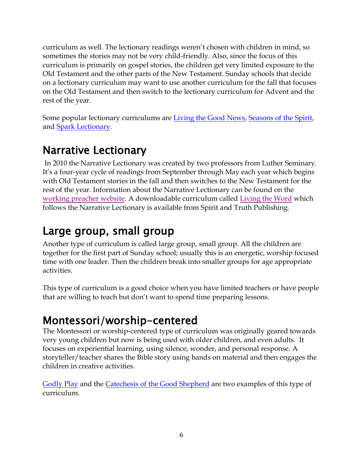curriculum as well. The lectionary readings weren't chosen with children in mind, so sometimes the stories may not be very child-friendly. Also, since the focus of this curriculum is primarily on gospel stories, the children get very limited exposure to the Old Testament and the other parts of the New Testament. Sunday schools that decide on a lectionary curriculum may want to use another curriculum for the fall that focuses on the Old Testament and then switch to the lectionary curriculum for Advent and the rest of the year.

Some popular lectionary curriculums are [Living the Good News,](https://www.livingthegoodnews.com/) [Seasons of the Spirit,](http://www.seasonsonline.ca/) and [Spark Lectionary.](http://wearesparkhouse.org/kids/spark/lectionary/)

### Narrative Lectionary

In 2010 the Narrative Lectionary was created by two professors from Luther Seminary. It's a four-year cycle of readings from September through May each year which begins with Old Testament stories in the fall and then switches to the New Testament for the rest of the year. Information about the Narrative Lectionary can be found on the [working preacher website.](http://www.workingpreacher.org/narrative_faqs.aspx) A downloadable curriculum called [Living the Word](http://spiritandtruthpublishing.com/products/living-the-word/) which follows the Narrative Lectionary is available from Spirit and Truth Publishing.

### Large group, small group

Another type of curriculum is called large group, small group. All the children are together for the first part of Sunday school; usually this is an energetic, worship focused time with one leader. Then the children break into smaller groups for age appropriate activities.

This type of curriculum is a good choice when you have limited teachers or have people that are willing to teach but don't want to spend time preparing lessons.

### Montessori/worship-centered

The Montessori or worship-centered type of curriculum was originally geared towards very young children but now is being used with older children, and even adults. It focuses on experiential learning, using silence, wonder, and personal response. A storyteller/teacher shares the Bible story using hands on material and then engages the children in creative activities.

[Godly Play](http://www.godlyplayfoundation.org/newsite/Main.php) and the Catechesis of [the Good Shepherd](http://www.cgsusa.org/) are two examples of this type of curriculum.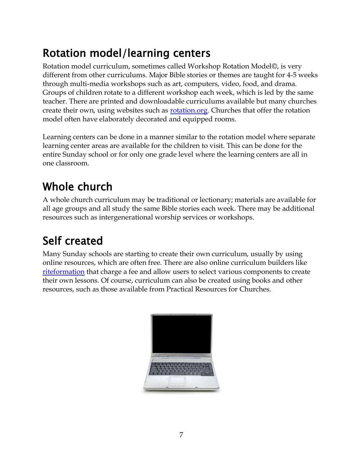### Rotation model/learning centers

Rotation model curriculum, sometimes called Workshop Rotation Model©, is very different from other curriculums. Major Bible stories or themes are taught for 4-5 weeks through multi-media workshops such as art, computers, video, food, and drama. Groups of children rotate to a different workshop each week, which is led by the same teacher. There are printed and downloadable curriculums available but many churches create their own, using websites such as [rotation.org.](http://www.rotation.org/) Churches that offer the rotation model often have elaborately decorated and equipped rooms.

Learning centers can be done in a manner similar to the rotation model where separate learning center areas are available for the children to visit. This can be done for the entire Sunday school or for only one grade level where the learning centers are all in one classroom.

# Whole church

A whole church curriculum may be traditional or lectionary; materials are available for all age groups and all study the same Bible stories each week. There may be additional resources such as intergenerational worship services or workshops.

## Self created

Many Sunday schools are starting to create their own curriculum, usually by using online resources, which are often free. There are also online curriculum builders like [riteformation](https://www.riteseries.org/formation/) that charge a fee and allow users to select various components to create their own lessons. Of course, curriculum can also be created using books and other resources, such as those available from Practical Resources for Churches.

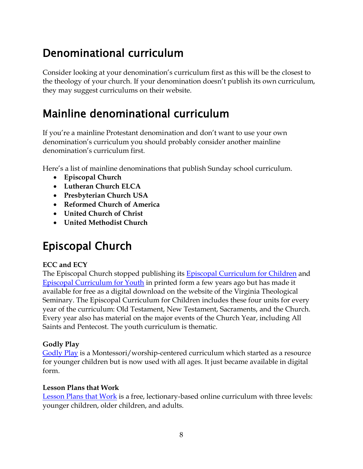### Denominational curriculum

Consider looking at your denomination's curriculum first as this will be the closest to the theology of your church. If your denomination doesn't publish its own curriculum, they may suggest curriculums on their website.

### Mainline denominational curriculum

If you're a mainline Protestant denomination and don't want to use your own denomination's curriculum you should probably consider another mainline denomination's curriculum first.

Here's a list of mainline denominations that publish Sunday school curriculum.

- **Episcopal Church**
- **Lutheran Church ELCA**
- **Presbyterian Church USA**
- **Reformed Church of America**
- **United Church of Christ**
- **United Methodist Church**

### Episcopal Church

#### **ECC and ECY**

The Episcopal Church stopped publishing its [Episcopal Curriculum for Children](http://www.vts.edu/podium/default.aspx?t=122314) and [Episcopal Curriculum for Youth](http://www.vts.edu/cmt/published/ecy) in printed form a few years ago but has made it available for free as a digital download on the website of the Virginia Theological Seminary. The Episcopal Curriculum for Children includes these four units for every year of the curriculum: Old Testament, New Testament, Sacraments, and the Church. Every year also has material on the major events of the Church Year, including All Saints and Pentecost. The youth curriculum is thematic.

#### **Godly Play**

[Godly Play](http://www.godlyplayfoundation.org/newsite/Main.php) is a Montessori/worship-centered curriculum which started as a resource for younger children but is now used with all ages. It just became available in digital form.

#### **Lesson Plans that Work**

[Lesson Plans that Work](http://episcopaldigitalnetwork.com/lessons/) is a free, lectionary-based online curriculum with three levels: younger children, older children, and adults.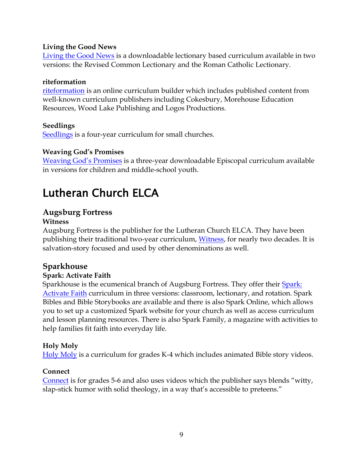#### **Living the Good News**

[Living the Good News](https://www.livingthegoodnews.com/) is a downloadable lectionary based curriculum available in two versions: the Revised Common Lectionary and the Roman Catholic Lectionary.

#### **riteformation**

[riteformation](https://www.riteseries.org/formation/) is an online curriculum builder which includes published content from well-known curriculum publishers including Cokesbury, Morehouse Education Resources, Wood Lake Publishing and Logos Productions.

#### **Seedlings**

[Seedlings](http://www.seedlingsinc.com/) is a four-year curriculum for small churches.

#### **Weaving God's Promises**

[Weaving God's Promises](http://www.weavinggodspromises.org/) is a three-year downloadable Episcopal curriculum available in versions for children and middle-school youth.

### Lutheran Church ELCA

### **Augsburg Fortress**

#### **Witness**

Augsburg Fortress is the publisher for the Lutheran Church ELCA. They have been publishing their traditional two-year curriculum, *Witness*, for nearly two decades. It is salvation-story focused and used by other denominations as well.

#### **Sparkhouse**

#### **Spark: Activate Faith**

Sparkhouse is the ecumenical branch of Augsburg Fortress. They offer their Spark: [Activate Faith](http://wearesparkhouse.org/kids/spark/lectionary/) curriculum in three versions: classroom, lectionary, and rotation. Spark Bibles and Bible Storybooks are available and there is also Spark Online, which allows you to set up a customized Spark website for your church as well as access curriculum and lesson planning resources. There is also Spark Family, a magazine with activities to help families fit faith into everyday life.

#### **Holy Moly**

[Holy Moly](http://sparkhouse.augsburgfortress.org/store/productfamily/183/Holy-Moly) is a curriculum for grades K-4 which includes animated Bible story videos.

#### **Connect**

[Connect](http://wearesparkhouse.org/kids/connect/) is for grades 5-6 and also uses videos which the publisher says blends "witty, slap-stick humor with solid theology, in a way that's accessible to preteens."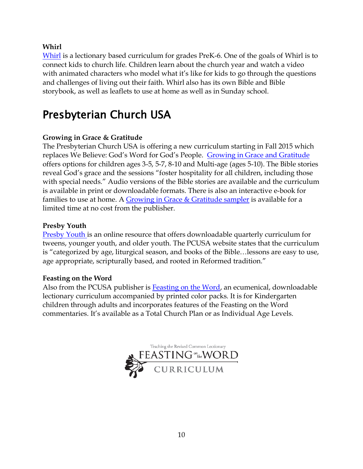#### **Whirl**

[Whirl](http://wearesparkhouse.org/kids/whirl/) is a lectionary based curriculum for grades PreK-6. One of the goals of Whirl is to connect kids to church life. Children learn about the church year and watch a video with animated characters who model what it's like for kids to go through the questions and challenges of living out their faith. Whirl also has its own Bible and Bible storybook, as well as leaflets to use at home as well as in Sunday school.

### Presbyterian Church USA

#### **Growing in Grace & Gratitude**

The Presbyterian Church USA is offering a new curriculum starting in Fall 2015 which replaces We Believe: God's Word for God's People. [Growing in Grace and Gratitude](http://www.presbyterianmission.org/ministries/growinggracegratitude/) offers options for children ages 3-5, 5-7, 8-10 and Multi-age (ages 5-10). The Bible stories reveal God's grace and the sessions "foster hospitality for all children, including those with special needs." Audio versions of the Bible stories are available and the curriculum is available in print or downloadable formats. There is also an interactive e-book for families to use at home. A Growing in Grace [& Gratitude sampler](http://www.pcusastore.com/Products/11000S/growing-in-grace--gratitude-sampler.aspx) is available for a limited time at no cost from the publisher.

#### **Presby Youth**

[Presby Youth](http://www.presbyyouth.org/) is an online resource that offers downloadable quarterly curriculum for tweens, younger youth, and older youth. The PCUSA website states that the curriculum is "categorized by age, liturgical season, and books of the Bible…lessons are easy to use, age appropriate, scripturally based, and rooted in Reformed tradition."

#### **Feasting on the Word**

Also from the PCUSA publisher is **Feasting on the Word**, an ecumenical, downloadable lectionary curriculum accompanied by printed color packs. It is for Kindergarten children through adults and incorporates features of the Feasting on the Word commentaries. It's available as a Total Church Plan or as Individual Age Levels.

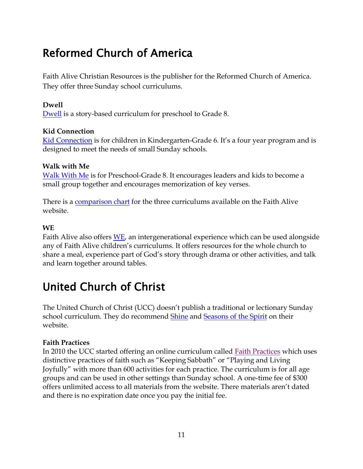### Reformed Church of America

Faith Alive Christian Resources is the publisher for the Reformed Church of America. They offer three Sunday school curriculums.

#### **Dwell**

[Dwell](http://dwell.faithaliveresources.org/home) is a story-based curriculum for preschool to Grade 8.

#### **Kid Connection**

[Kid Connection](http://kc.faithaliveresources.org/) is for children in Kindergarten-Grade 6. It's a four year program and is designed to meet the needs of small Sunday schools.

#### **Walk with Me**

[Walk With Me](http://wwm.faithaliveresources.org/) is for Preschool-Grade 8. It encourages leaders and kids to become a small group together and encourages memorization of key verses.

There is a [comparison chart](http://www.faithaliveresources.org/Content/Site135/Basics/57151Curriculum_00000016210.pdf) for the three curriculums available on the Faith Alive website.

#### **WE**

Faith Alive also offers [WE,](http://www.faithaliveresources.org/products/categorycenter/cowe/we.aspx) an intergenerational experience which can be used alongside any of Faith Alive children's curriculums. It offers resources for the whole church to share a meal, experience part of God's story through drama or other activities, and talk and learn together around tables.

### United Church of Christ

The United Church of Christ (UCC) doesn't publish a traditional or lectionary Sunday school curriculum. They do recommend [Shine](https://shinecurriculum.com/) and [Seasons of the Spirit](http://www.seasonsonline.ca/2/what_is_seasons/) on their website.

#### **Faith Practices**

In 2010 the UCC started offering an online curriculum called [Faith Practices](http://www.ucc.org/faith-practices/) which uses distinctive practices of faith such as "Keeping Sabbath" or "Playing and Living Joyfully" with more than 600 activities for each practice. The curriculum is for all age groups and can be used in other settings than Sunday school. A one-time fee of \$300 offers unlimited access to all materials from the website. There materials aren't dated and there is no expiration date once you pay the initial fee.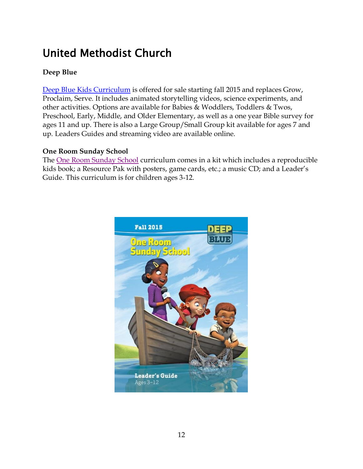### United Methodist Church

#### **Deep Blue**

[Deep Blue Kids Curriculum](http://www.deepbluekids.com/) is offered for sale starting fall 2015 and replaces Grow, Proclaim, Serve. It includes animated storytelling videos, science experiments, and other activities. Options are available for Babies & Woddlers, Toddlers & Twos, Preschool, Early, Middle, and Older Elementary, as well as a one year Bible survey for ages 11 and up. There is also a Large Group/Small Group kit available for ages 7 and up. Leaders Guides and streaming video are available online.

#### **One Room Sunday School**

The [One Room Sunday School](http://www.cokesbury.com/forms/curriculum.aspx?sid=124) curriculum comes in a kit which includes a reproducible kids book; a Resource Pak with posters, game cards, etc.; a music CD; and a Leader's Guide. This curriculum is for children ages 3-12.

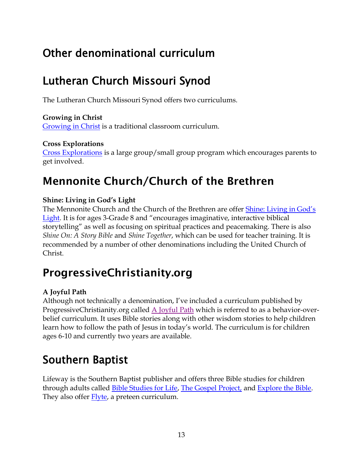### Other denominational curriculum

### Lutheran Church Missouri Synod

The Lutheran Church Missouri Synod offers two curriculums.

#### **Growing in Christ**

[Growing in Christ](http://sites.cph.org/sundayschool/) is a traditional classroom curriculum.

#### **Cross Explorations**

[Cross Explorations](http://www.cph.org/c-2407-cross-explorations.aspx) is a large group/small group program which encourages parents to get involved.

### **Mennonite Church/Church of the Brethren**

#### **Shine: Living in God's Light**

The Mennonite Church and the Church of the Brethren are offer [Shine: Living in God's](https://shinecurriculum.com/)  [Light.](https://shinecurriculum.com/) It is for ages 3-Grade 8 and "encourages imaginative, interactive biblical storytelling" as well as focusing on spiritual practices and peacemaking. There is also *Shine On: A Story Bible* and *Shine Together*, which can be used for teacher training. It is recommended by a number of other denominations including the United Church of Christ.

### **ProgressiveChristianity.org**

#### **A Joyful Path**

Although not technically a denomination, I've included a curriculum published by ProgressiveChristianity.org called [A Joyful Path](http://progressivechristianity.org/childrens-curriculum/) which is referred to as a behavior-overbelief curriculum. It uses Bible stories along with other wisdom stories to help children learn how to follow the path of Jesus in today's world. The curriculum is for children ages 6-10 and currently two years are available.

### Southern Baptist

Lifeway is the Southern Baptist publisher and offers three Bible studies for children through adults called [Bible Studies for Life,](http://www.lifeway.com/n/Product-Family/Bible-Studies-for-Life?intcmp=SundaySchool-MTX-Text-BSFLLM-20140115) [The Gospel Project,](http://www.lifeway.com/n/Product-Family/The-Gospel-Project?intcmp=SundaySchool-MTX-Text-TGP-20140115) and [Explore the Bible.](http://www.lifeway.com/n/Product-Family/explore-the-bible?intcmp=SundaySchool-MTX-Text-ETB-20140115) They also offer **Flyte**, a preteen curriculum.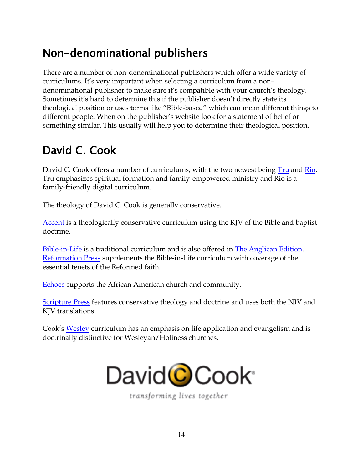### Non-denominational publishers

There are a number of non-denominational publishers which offer a wide variety of curriculums. It's very important when selecting a curriculum from a nondenominational publisher to make sure it's compatible with your church's theology. Sometimes it's hard to determine this if the publisher doesn't directly state its theological position or uses terms like "Bible-based" which can mean different things to different people. When on the publisher's website look for a statement of belief or something similar. This usually will help you to determine their theological position.

### David C. Cook

David C. Cook offers a number of curriculums, with the two newest being [Tru](http://www.davidccook.com/curriculum/tru/) and [Rio.](http://www.davidccook.com/curriculum/rio/) Tru emphasizes spiritual formation and family-empowered ministry and Rio is a family-friendly digital curriculum.

The theology of David C. Cook is generally conservative.

[Accent](http://www.davidccook.com/curriculum/accent/) is a theologically conservative curriculum using the KJV of the Bible and baptist doctrine.

[Bible-in-Life](http://www.davidccook.com/curriculum/davidccook/) is a traditional curriculum and is also offered in [The Anglican Edition.](http://www.davidccook.com/curriculum/episcopal/) [Reformation Press](http://www.davidccook.com/curriculum/rpress/) supplements the Bible-in-Life curriculum with coverage of the essential tenets of the Reformed faith.

[Echoes](http://www.davidccook.com/curriculum/echoes/) supports the African American church and community.

[Scripture Press](http://www.davidccook.com/curriculum/scripturepress/) features conservative theology and doctrine and uses both the NIV and KJV translations.

Cook's [Wesley](http://www.davidccook.com/curriculum/Wesley/) curriculum has an emphasis on life application and evangelism and is doctrinally distinctive for Wesleyan/Holiness churches.



transforming lives together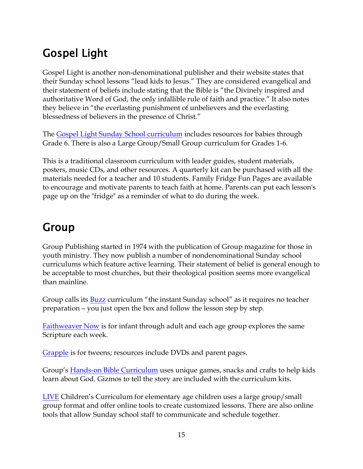### Gospel Light

Gospel Light is another non-denominational publisher and their website states that their Sunday school lessons "lead kids to Jesus." They are considered evangelical and their statement of beliefs include stating that the Bible is "the Divinely inspired and authoritative Word of God, the only infallible rule of faith and practice." It also notes they believe in "the everlasting punishment of unbelievers and the everlasting blessedness of believers in the presence of Christ."

The [Gospel Light Sunday School curriculum](http://www.gospellight.com/sunday-school/age-specific.aspx) includes resources for babies through Grade 6. There is also a Large Group/Small Group curriculum for Grades 1-6.

This is a traditional classroom curriculum with leader guides, student materials, posters, music CDs, and other resources. A quarterly kit can be purchased with all the materials needed for a teacher and 10 students. Family Fridge Fun Pages are available to encourage and motivate parents to teach faith at home. Parents can put each lesson's page up on the "fridge" as a reminder of what to do during the week.

### Group

Group Publishing started in 1974 with the publication of Group magazine for those in youth ministry. They now publish a number of nondenominational Sunday school curriculums which feature active learning. Their statement of belief is general enough to be acceptable to most churches, but their theological position seems more evangelical than mainline.

Group calls its [Buzz](http://www.group.com/sunday-school/buzz) curriculum "the instant Sunday school" as it requires no teacher preparation – you just open the box and follow the lesson step by step.

[Faithweaver Now](http://www.group.com/sunday-school/faithweaver-now) is for infant through adult and each age group explores the same Scripture each week.

[Grapple](http://www.group.com/sunday-school/grapple) is for tweens; resources include DVDs and parent pages.

Group's **[Hands-on Bible Curriculum](http://www.group.com/sunday-school/hands-on-bible-curriculum)** uses unique games, snacks and crafts to help kids learn about God. Gizmos to tell the story are included with the curriculum kits.

[LIVE](http://www.group.com/sunday-school/live) Children's Curriculum for elementary age children uses a large group/small group format and offer online tools to create customized lessons. There are also online tools that allow Sunday school staff to communicate and schedule together.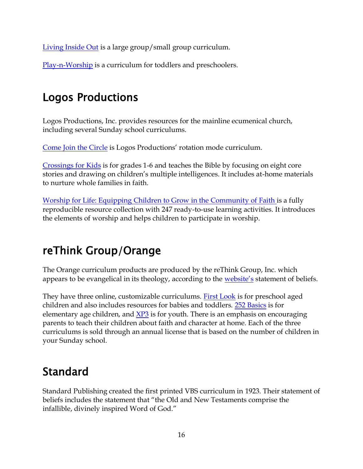[Living Inside Out](http://www.group.com/sunday-school/living-inside-out) is a large group/small group curriculum.

[Play-n-Worship](http://www.group.com/sunday-school/play-n-worship) is a curriculum for toddlers and preschoolers.

### Logos Productions

Logos Productions, Inc. provides resources for the mainline ecumenical church, including several Sunday school curriculums.

[Come Join the Circle](https://www.logosproductions.com/content/sunday-school-curriculum-1) is Logos Productions' rotation mode curriculum.

[Crossings for Kids](https://www.logosproductions.com/content/sunday-school-curriculum-1) is for grades 1-6 and teaches the Bible by focusing on eight core stories and drawing on children's multiple intelligences. It includes at-home materials to nurture whole families in faith.

[Worship for Life: Equipping Children to Grow in the Community of Faith](https://www.logosproductions.com/content/sunday-school-curriculum-1) is a fully reproducible resource collection with 247 ready-to-use learning activities. It introduces the elements of worship and helps children to participate in worship.

### reThink Group/Orange

The Orange curriculum products are produced by the reThink Group, Inc. which appears to be evangelical in its theology, according to the [website](http://whatisorange.org/)'s statement of beliefs.

They have three online, customizable curriculums. [First Look](http://whatisorange.org/firstlook/) is for preschool aged children and also includes resources for babies and toddlers. [252 Basics](http://whatisorange.org/252basics/) is for elementary age children, and [XP3](http://whatisorange.org/xp3students/) is for youth. There is an emphasis on encouraging parents to teach their children about faith and character at home. Each of the three curriculums is sold through an annual license that is based on the number of children in your Sunday school.

### Standard

Standard Publishing created the first printed VBS curriculum in 1923. Their statement of beliefs includes the statement that "the Old and New Testaments comprise the infallible, divinely inspired Word of God."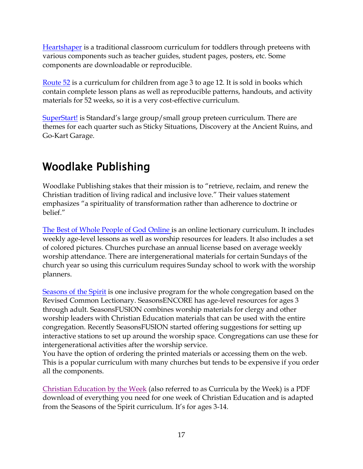[Heartshaper](http://www.heartshaper.com/) is a traditional classroom curriculum for toddlers through preteens with various components such as teacher guides, student pages, posters, etc. Some components are downloadable or reproducible.

[Route 52](http://www.standardpub.com/promotions/curriculum/childrenscurriculum.html) is a curriculum for children from age 3 to age 12. It is sold in books which contain complete lesson plans as well as reproducible patterns, handouts, and activity materials for 52 weeks, so it is a very cost-effective curriculum.

[SuperStart!](http://www.superstartpreteen.com/) is Standard's large group/small group preteen curriculum. There are themes for each quarter such as Sticky Situations, Discovery at the Ancient Ruins, and Go-Kart Garage.

### Woodlake Publishing

Woodlake Publishing stakes that their mission is to "retrieve, reclaim, and renew the Christian tradition of living radical and inclusive love." Their values statement emphasizes "a spirituality of transformation rather than adherence to doctrine or belief."

[The Best of Whole People of God Online](http://www.wholepeopleofgod.com/) is an online lectionary curriculum. It includes weekly age-level lessons as well as worship resources for leaders. It also includes a set of colored pictures. Churches purchase an annual license based on average weekly worship attendance. There are intergenerational materials for certain Sundays of the church year so using this curriculum requires Sunday school to work with the worship planners.

[Seasons of the Spirit](http://www.seasonsonline.ca/) is one inclusive program for the whole congregation based on the Revised Common Lectionary. SeasonsENCORE has age-level resources for ages 3 through adult. SeasonsFUSION combines worship materials for clergy and other worship leaders with Christian Education materials that can be used with the entire congregation. Recently SeasonsFUSION started offering suggestions for setting up interactive stations to set up around the worship space. Congregations can use these for intergenerational activities after the worship service.

You have the option of ordering the printed materials or accessing them on the web. This is a popular curriculum with many churches but tends to be expensive if you order all the components.

[Christian Education by the Week](http://www.woodlakebooks.com/curricula/curricula_by_the_week/) (also referred to as Curricula by the Week) is a PDF download of everything you need for one week of Christian Education and is adapted from the Seasons of the Spirit curriculum. It's for ages 3-14.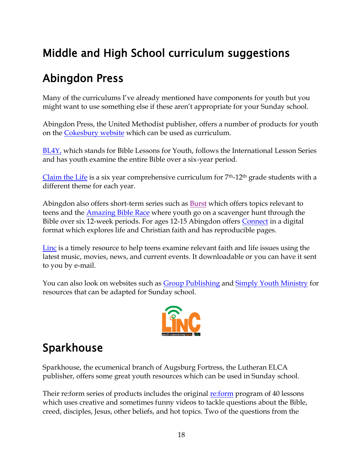### Middle and High School curriculum suggestions

### Abingdon Press

Many of the curriculums I've already mentioned have components for youth but you might want to use something else if these aren't appropriate for your Sunday school.

Abingdon Press, the United Methodist publisher, offers a number of products for youth on the [Cokesbury website](http://www.cokesbury.com/forms/curriculum.aspx?lvl=Youth) which can be used as curriculum.

[BL4Y,](http://www.cokesbury.com/forms/curriculum.aspx?lvl=Youth&lnb=Series&sid=13) which stands for Bible Lessons for Youth, follows the International Lesson Series and has youth examine the entire Bible over a six-year period.

[Claim the Life](http://www.claimthelife.com/) is a six year comprehensive curriculum for  $7<sup>th</sup>$ -12<sup>th</sup> grade students with a different theme for each year.

Abingdon also offers short-term series such as **Burst** which offers topics relevant to teens and the [Amazing Bible Race](http://www.cokesbury.com/forms/curriculum.aspx?lvl=Youth&lnb=Series&sid=624) where youth go on a scavenger hunt through the Bible over six 12-week periods. For ages 12-15 Abingdon offers [Connect](http://www.cokesbury.com/forms/search.aspx?ddlSearchScope=&txtSearchQuery=connect%20for%20middle%20school) in a digital format which explores life and Christian faith and has reproducible pages.

[Linc](http://www.cokesbury.com/forms/curriculum.aspx?lvl=Youth&lnb=Series&sid=560) is a timely resource to help teens examine relevant faith and life issues using the latest music, movies, news, and current events. It downloadable or you can have it sent to you by e-mail.

You can also look on websites such as [Group Publishing](http://www.group.com/youth-ministry) and [Simply Youth Ministry](http://www.simplyyouthministry.com/) for resources that can be adapted for Sunday school.



### Sparkhouse

Sparkhouse, the ecumenical branch of Augsburg Fortress, the Lutheran ELCA publisher, offers some great youth resources which can be used in Sunday school.

Their re:form series of products includes the original [re:form](http://wearesparkhouse.org/teens/reform/core/) program of 40 lessons which uses creative and sometimes funny videos to tackle questions about the Bible, creed, disciples, Jesus, other beliefs, and hot topics. Two of the questions from the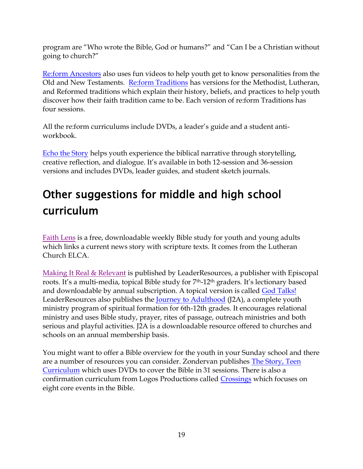program are "Who wrote the Bible, God or humans?" and "Can I be a Christian without going to church?"

[Re:form Ancestors](http://wearesparkhouse.org/teens/reform/ancestors/) also uses fun videos to help youth get to know personalities from the Old and New Testaments. [Re:form Traditions](http://wearesparkhouse.org/teens/reform/traditions/) has versions for the Methodist, Lutheran, and Reformed traditions which explain their history, beliefs, and practices to help youth discover how their faith tradition came to be. Each version of re:form Traditions has four sessions.

All the re:form curriculums include DVDs, a leader's guide and a student antiworkbook.

[Echo the Story](http://wearesparkhouse.org/teens/echothestory/) helps youth experience the biblical narrative through storytelling, creative reflection, and dialogue. It's available in both 12-session and 36-session versions and includes DVDs, leader guides, and student sketch journals.

# Other suggestions for middle and high school curriculum

[Faith Lens](http://www.elca.org/News%20and%20Events/blogs/FaithLens) is a free, downloadable weekly Bible study for youth and young adults which links a current news story with scripture texts. It comes from the Lutheran Church ELCA.

[Making It Real & Relevant](http://leaderresources.org/mrr) is published by LeaderResources, a publisher with Episcopal roots. It's a multi-media, topical Bible study for 7th-12th graders. It's lectionary based and downloadable by annual subscription. A topical version is called [God Talks!](http://leaderresources.org/God-talks) LeaderResources also publishes the [Journey to Adulthood](http://leaderresources.org/j2a_youth) (J2A), a complete youth ministry program of spiritual formation for 6th-12th grades. It encourages relational ministry and uses Bible study, prayer, rites of passage, outreach ministries and both serious and playful activities. J2A is a downloadable resource offered to churches and schools on an annual membership basis.

You might want to offer a Bible overview for the youth in your Sunday school and there are a number of resources you can consider. Zondervan publishes [The Story, Teen](http://www.zondervan.com/the-story-teen-curriculum.html)  [Curriculum](http://www.zondervan.com/the-story-teen-curriculum.html) which uses DVDs to cover the Bible in 31 sessions. There is also a confirmation curriculum from Logos Productions called [Crossings](http://www.logosproductions.com/content/crossings-review-kit) which focuses on eight core events in the Bible.